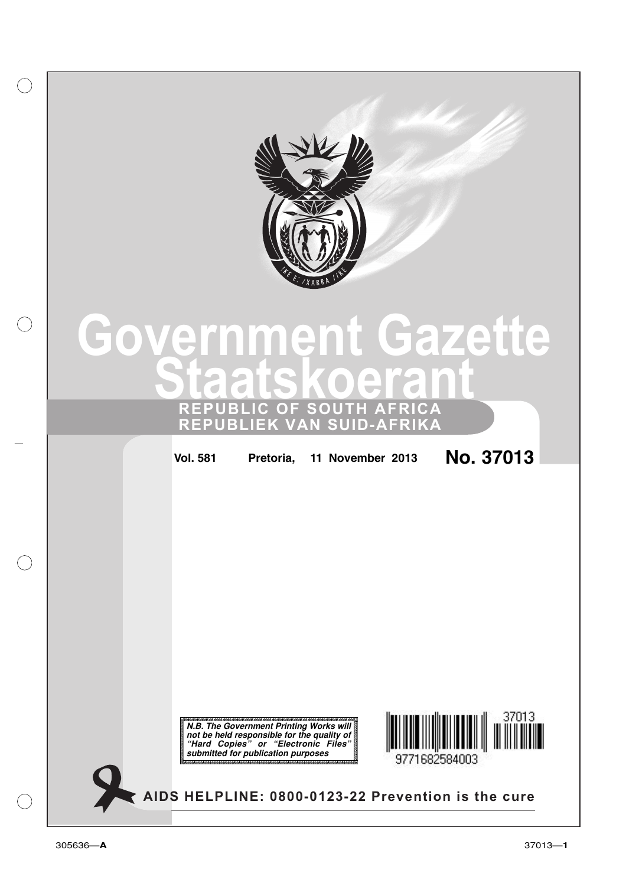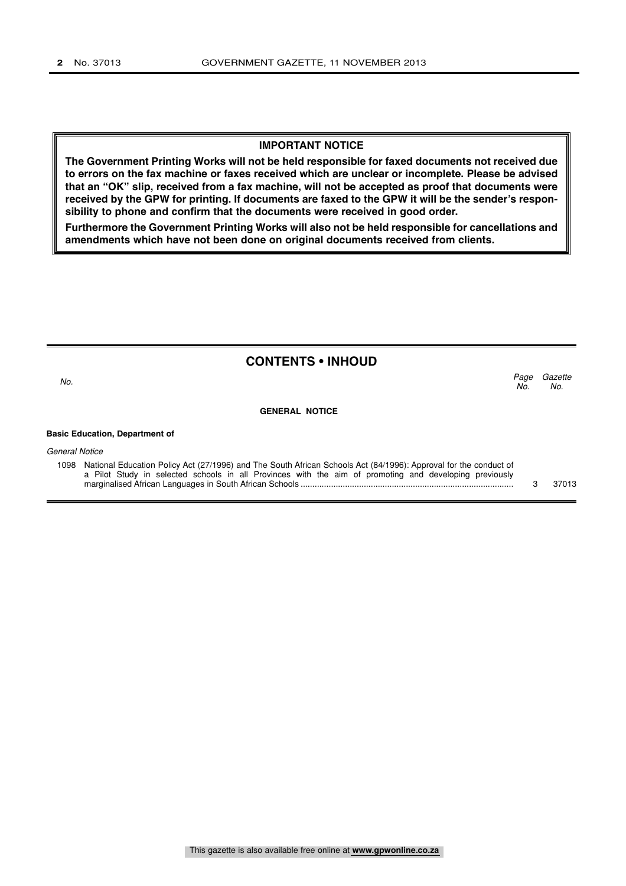#### **IMPORTANT NOTICE**

**The Government Printing Works will not be held responsible for faxed documents not received due to errors on the fax machine or faxes received which are unclear or incomplete. Please be advised that an "OK" slip, received from a fax machine, will not be accepted as proof that documents were received by the GPW for printing. If documents are faxed to the GPW it will be the sender's responsibility to phone and confirm that the documents were received in good order.**

**Furthermore the Government Printing Works will also not be held responsible for cancellations and amendments which have not been done on original documents received from clients.**

|                                       | <b>CONTENTS • INHOUD</b> |             |                |
|---------------------------------------|--------------------------|-------------|----------------|
| No.                                   |                          | Page<br>No. | Gazette<br>No. |
|                                       | <b>GENERAL NOTICE</b>    |             |                |
| <b>Basic Education, Department of</b> |                          |             |                |
| <b>General Notice</b>                 |                          |             |                |

1098 National Education Policy Act (27/1996) and The South African Schools Act (84/1996): Approval for the conduct of a Pilot Study in selected schools in all Provinces with the aim of promoting and developing previously marginalised African Languages in South African Schools ........................................................................................... 3 37013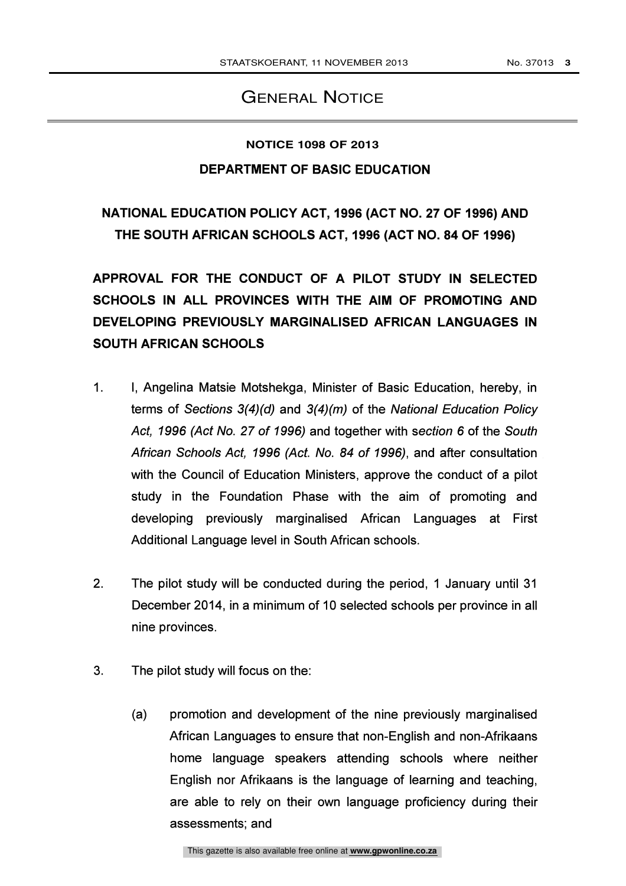### GENERAL NOTICE

#### **NOTICE 1098 OF 2013**

### DEPARTMENT OF BASIC EDUCATION

# NATIONAL EDUCATION POLICY ACT, 1996 (ACT NO. 27 OF 1996) AND THE SOUTH AFRICAN SCHOOLS ACT, 1996 (ACT NO. 84 OF 1996)

APPROVAL FOR THE CONDUCT OF A PILOT STUDY IN SELECTED SCHOOLS IN ALL PROVINCES WITH THE AIM OF PROMOTING AND DEVELOPING PREVIOUSLY MARGINALISED AFRICAN LANGUAGES IN SOUTH AFRICAN SCHOOLS

- 1. I, Angelina Matsie Motshekga, Minister of Basic Education, hereby, in terms of Sections 3(4)(d) and 3(4)(m) of the National Education Policy Act, 1996 (Act No. 27 of 1996) and together with section 6 of the South African Schools Act, 1996 (Act. No. 84 of 1996), and after consultation with the Council of Education Ministers, approve the conduct of a pilot study in the Foundation Phase with the aim of promoting and developing previously marginalised African Languages at First Additional Language level in South African schools.
- 2. The pilot study will be conducted during the period, 1 January until 31 December 2014, in a minimum of 10 selected schools per province in all nine provinces.
- 3. The pilot study will focus on the:
	- (a) promotion and development of the nine previously marginalised African Languages to ensure that non-English and non-Afrikaans home language speakers attending schools where neither English nor Afrikaans is the language of learning and teaching, are able to rely on their own language proficiency during their assessments; and